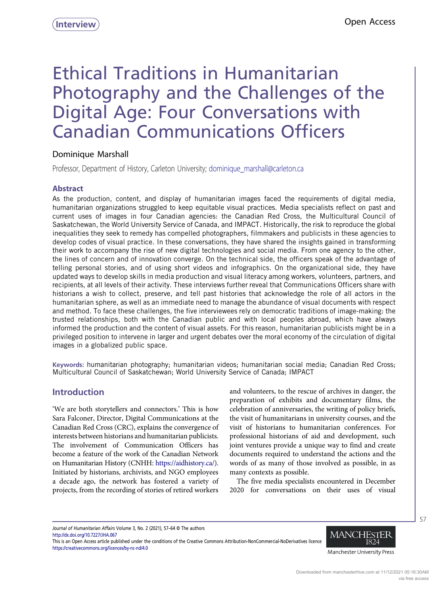# Ethical Traditions in Humanitarian Photography and the Challenges of the Digital Age: Four Conversations with Canadian Communications Officers

# Dominique Marshall

Professor, Department of History, Carleton University; dominique marshall@carleton.ca

## Abstract

As the production, content, and display of humanitarian images faced the requirements of digital media, humanitarian organizations struggled to keep equitable visual practices. Media specialists reflect on past and current uses of images in four Canadian agencies: the Canadian Red Cross, the Multicultural Council of Saskatchewan, the World University Service of Canada, and IMPACT. Historically, the risk to reproduce the global inequalities they seek to remedy has compelled photographers, filmmakers and publicists in these agencies to develop codes of visual practice. In these conversations, they have shared the insights gained in transforming their work to accompany the rise of new digital technologies and social media. From one agency to the other, the lines of concern and of innovation converge. On the technical side, the officers speak of the advantage of telling personal stories, and of using short videos and infographics. On the organizational side, they have updated ways to develop skills in media production and visual literacy among workers, volunteers, partners, and recipients, at all levels of their activity. These interviews further reveal that Communications Officers share with historians a wish to collect, preserve, and tell past histories that acknowledge the role of all actors in the humanitarian sphere, as well as an immediate need to manage the abundance of visual documents with respect and method. To face these challenges, the five interviewees rely on democratic traditions of image-making: the trusted relationships, both with the Canadian public and with local peoples abroad, which have always informed the production and the content of visual assets. For this reason, humanitarian publicists might be in a privileged position to intervene in larger and urgent debates over the moral economy of the circulation of digital images in a globalized public space.

Keywords: humanitarian photography; humanitarian videos; humanitarian social media; Canadian Red Cross; Multicultural Council of Saskatchewan; World University Service of Canada; IMPACT

## Introduction

'We are both storytellers and connectors.' This is how Sara Falconer, Director, Digital Communications at the Canadian Red Cross (CRC), explains the convergence of interests between historians and humanitarian publicists. The involvement of Communication Officers has become a feature of the work of the Canadian Network on Humanitarian History (CNHH: [https://aidhistory.ca/\)](https://aidhistory.ca/). Initiated by historians, archivists, and NGO employees a decade ago, the network has fostered a variety of projects, from the recording of stories of retired workers

and volunteers, to the rescue of archives in danger, the preparation of exhibits and documentary films, the celebration of anniversaries, the writing of policy briefs, the visit of humanitarians in university courses, and the visit of historians to humanitarian conferences. For professional historians of aid and development, such joint ventures provide a unique way to find and create documents required to understand the actions and the words of as many of those involved as possible, in as many contexts as possible.

The five media specialists encountered in December 2020 for conversations on their uses of visual

Journal of Humanitarian Affairs Volume 3, No. 2 (2021), 57–64 © The authors <http://dx.doi.org/10.7227/JHA.067>

This is an Open Access article published under the conditions of the Creative Commons Attribution-NonCommercial-NoDerivatives licence <https://creativecommons.org/licences/by-nc-nd/4.0>



57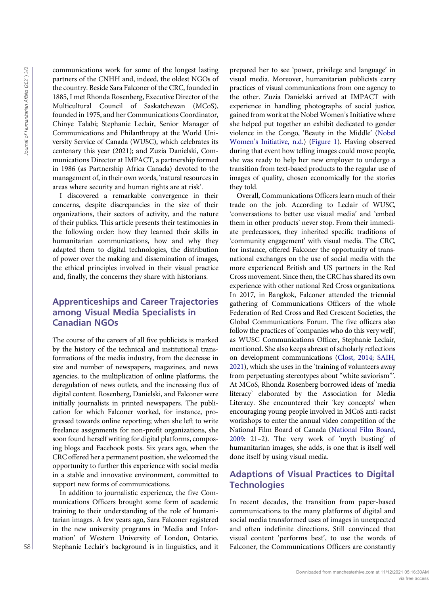communications work for some of the longest lasting partners of the CNHH and, indeed, the oldest NGOs of the country. Beside Sara Falconer of the CRC, founded in 1885, I met Rhonda Rosenberg, Executive Director of the Multicultural Council of Saskatchewan (MCoS), founded in 1975, and her Communications Coordinator, Chinye Talabi; Stephanie Leclair, Senior Manager of Communications and Philanthropy at the World University Service of Canada (WUSC), which celebrates its centenary this year (2021); and Zuzia Danielski, Communications Director at IMPACT, a partnership formed in 1986 (as Partnership Africa Canada) devoted to the management of, in their own words, 'natural resources in areas where security and human rights are at risk'.

I discovered a remarkable convergence in their concerns, despite discrepancies in the size of their organizations, their sectors of activity, and the nature of their publics. This article presents their testimonies in the following order: how they learned their skills in humanitarian communications, how and why they adapted them to digital technologies, the distribution of power over the making and dissemination of images, the ethical principles involved in their visual practice and, finally, the concerns they share with historians.

## Apprenticeships and Career Trajectories among Visual Media Specialists in Canadian NGOs

The course of the careers of all five publicists is marked by the history of the technical and institutional transformations of the media industry, from the decrease in size and number of newspapers, magazines, and news agencies, to the multiplication of online platforms, the deregulation of news outlets, and the increasing flux of digital content. Rosenberg, Danielski, and Falconer were initially journalists in printed newspapers. The publication for which Falconer worked, for instance, progressed towards online reporting; when she left to write freelance assignments for non-profit organizations, she soon found herself writing for digital platforms, composing blogs and Facebook posts. Six years ago, when the CRC offered her a permanent position, she welcomed the opportunity to further this experience with social media in a stable and innovative environment, committed to support new forms of communications.

In addition to journalistic experience, the five Communications Officers brought some form of academic training to their understanding of the role of humanitarian images. A few years ago, Sara Falconer registered in the new university programs in 'Media and Information' of Western University of London, Ontario. Stephanie Leclair's background is in linguistics, and it prepared her to see 'power, privilege and language' in visual media. Moreover, humanitarian publicists carry practices of visual communications from one agency to the other. Zuzia Danielski arrived at IMPACT with experience in handling photographs of social justice, gained from work at the Nobel Women's Initiative where she helped put together an exhibit dedicated to gender violence in the Congo, 'Beauty in the Middle' [\(Nobel](#page-7-0) Women'[s Initiative, n.d.\)](#page-7-0) [\(Figure 1](#page-2-0)). Having observed during that event how telling images could move people, she was ready to help her new employer to undergo a transition from text-based products to the regular use of images of quality, chosen economically for the stories they told.

Overall, Communications Officers learn much of their trade on the job. According to Leclair of WUSC, 'conversations to better use visual media' and 'embed them in other products' never stop. From their immediate predecessors, they inherited specific traditions of 'community engagement' with visual media. The CRC, for instance, offered Falconer the opportunity of transnational exchanges on the use of social media with the more experienced British and US partners in the Red Cross movement. Since then, the CRC has shared its own experience with other national Red Cross organizations. In 2017, in Bangkok, Falconer attended the triennial gathering of Communications Officers of the whole Federation of Red Cross and Red Crescent Societies, the Global Communications Forum. The five officers also follow the practices of 'companies who do this very well', as WUSC Communications Officer, Stephanie Leclair, mentioned. She also keeps abreast of scholarly reflections on development communications [\(Clost, 2014](#page-6-0); [SAIH,](#page-7-1) [2021](#page-7-1)), which she uses in the 'training of volunteers away from perpetuating stereotypes about "white saviorism"'. At MCoS, Rhonda Rosenberg borrowed ideas of 'media literacy' elaborated by the Association for Media Literacy. She encountered their 'key concepts' when encouraging young people involved in MCoS anti-racist workshops to enter the annual video competition of the National Film Board of Canada ([National Film Board,](#page-7-2) [2009](#page-7-2): 21–2). The very work of 'myth busting' of humanitarian images, she adds, is one that is itself well done itself by using visual media. From the latter of the three of the three interests are the second with the second with the second with the communications of the second with the communications of  $\zeta$  are constant to the second of the second of the sec

# Adaptions of Visual Practices to Digital **Technologies**

In recent decades, the transition from paper-based communications to the many platforms of digital and social media transformed uses of images in unexpected and often indefinite directions. Still convinced that visual content 'performs best', to use the words of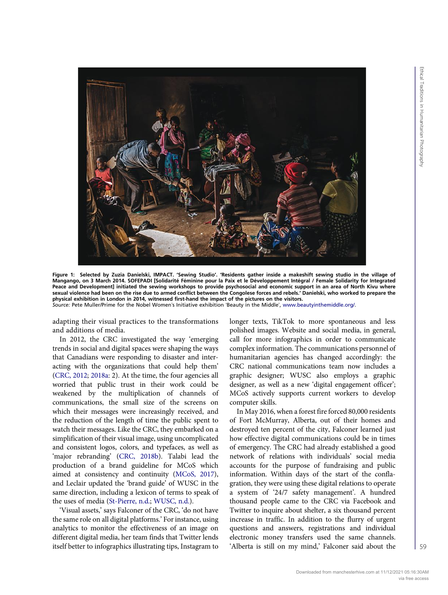<span id="page-2-0"></span>

Figure 1: Selected by Zuzia Danielski, IMPACT. 'Sewing Studio'. 'Residents gather inside a makeshift sewing studio in the village of Mangango, on 3 March 2014. SOFEPADI [Solidarité Féminine pour la Paix et le Développement Intégral / Female Solidarity for Integrated Peace and Development] initiated the sewing workshops to provide psychosocial and economic support in an area of North Kivu where sexual violence had been on the rise due to armed conflict between the Congolese forces and rebels.' Danielski, who worked to prepare the physical exhibition in London in 2014, witnessed first-hand the impact of the pictures on the visitors. Source: Pete Muller/Prime for the Nobel Women's Initiative exhibition 'Beauty in the Middle', [www.beautyinthemiddle.org/.](www.beautyinthemiddle.org/)

adapting their visual practices to the transformations and additions of media.

In 2012, the CRC investigated the way 'emerging trends in social and digital spaces were shaping the ways that Canadians were responding to disaster and interacting with the organizations that could help them' [\(CRC, 2012;](#page-6-1) [2018a:](#page-6-2) 2). At the time, the four agencies all worried that public trust in their work could be weakened by the multiplication of channels of communications, the small size of the screens on which their messages were increasingly received, and the reduction of the length of time the public spent to watch their messages. Like the CRC, they embarked on a simplification of their visual image, using uncomplicated and consistent logos, colors, and typefaces, as well as 'major rebranding' [\(CRC, 2018b\)](#page-6-3). Talabi lead the production of a brand guideline for MCoS which aimed at consistency and continuity [\(MCoS, 2017\)](#page-7-3), and Leclair updated the 'brand guide' of WUSC in the same direction, including a lexicon of terms to speak of the uses of media [\(St-Pierre, n.d.](#page-7-4); [WUSC, n.d.\)](#page-7-5).

'Visual assets,' says Falconer of the CRC, 'do not have the same role on all digital platforms.' For instance, using analytics to monitor the effectiveness of an image on different digital media, her team finds that Twitter lends itself better to infographics illustrating tips, Instagram to longer texts, TikTok to more spontaneous and less polished images. Website and social media, in general, call for more infographics in order to communicate complex information. The communications personnel of humanitarian agencies has changed accordingly: the CRC national communications team now includes a graphic designer; WUSC also employs a graphic designer, as well as a new 'digital engagement officer'; MCoS actively supports current workers to develop computer skills.

In May 2016, when a forest fire forced 80,000 residents of Fort McMurray, Alberta, out of their homes and destroyed ten percent of the city, Falconer learned just how effective digital communications could be in times of emergency. The CRC had already established a good network of relations with individuals' social media accounts for the purpose of fundraising and public information. Within days of the start of the conflagration, they were using these digital relations to operate a system of '24/7 safety management'. A hundred thousand people came to the CRC via Facebook and Twitter to inquire about shelter, a six thousand percent increase in traffic. In addition to the flurry of urgent questions and answers, registrations and individual electronic money transfers used the same channels. 'Alberta is still on my mind,' Falconer said about the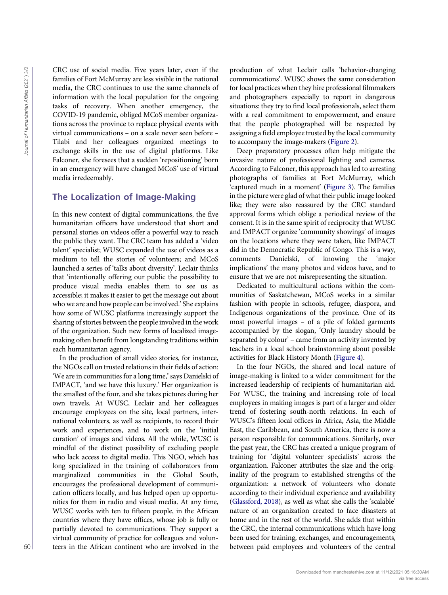CRC use of social media. Five years later, even if the families of Fort McMurray are less visible in the national media, the CRC continues to use the same channels of information with the local population for the ongoing tasks of recovery. When another emergency, the COVID-19 pandemic, obliged MCoS member organizations across the province to replace physical events with virtual communications – on a scale never seen before – Tilabi and her colleagues organized meetings to exchange skills in the use of digital platforms. Like Falconer, she foresees that a sudden 'repositioning' born in an emergency will have changed MCoS' use of virtual media irredeemably.

## The Localization of Image-Making

In this new context of digital communications, the five humanitarian officers have understood that short and personal stories on videos offer a powerful way to reach the public they want. The CRC team has added a 'video talent' specialist; WUSC expanded the use of videos as a medium to tell the stories of volunteers; and MCoS launched a series of 'talks about diversity'. Leclair thinks that 'intentionally offering our public the possibility to produce visual media enables them to see us as accessible; it makes it easier to get the message out about who we are and how people can be involved.' She explains how some of WUSC platforms increasingly support the sharing of stories between the people involved in the work of the organization. Such new forms of localized imagemaking often benefit from longstanding traditions within each humanitarian agency.

In the production of small video stories, for instance, the NGOs call on trusted relations in their fields of action: 'We are in communities for a long time,' says Danielski of IMPACT, 'and we have this luxury.' Her organization is the smallest of the four, and she takes pictures during her own travels. At WUSC, Leclair and her colleagues encourage employees on the site, local partners, international volunteers, as well as recipients, to record their work and experiences, and to work on the 'initial curation' of images and videos. All the while, WUSC is mindful of the distinct possibility of excluding people who lack access to digital media. This NGO, which has long specialized in the training of collaborators from marginalized communities in the Global South, encourages the professional development of communication officers locally, and has helped open up opportunities for them in radio and visual media. At any time, WUSC works with ten to fifteen people, in the African countries where they have offices, whose job is fully or partially devoted to communications. They support a virtual community of practice for colleagues and volunteers in the African continent who are involved in the CRE the actual state of the production of the central Affairs (2021) and the central Affairs (2021) and the central Affairs (2021) and the central Journal of the central Journal of the central Journal of the central Journ

production of what Leclair calls 'behavior-changing communications'. WUSC shows the same consideration for local practices when they hire professional filmmakers and photographers especially to report in dangerous situations: they try to find local professionals, select them with a real commitment to empowerment, and ensure that the people photographed will be respected by assigning a field employee trusted by the local community to accompany the image-makers [\(Figure 2](#page-4-0)).

Deep preparatory processes often help mitigate the invasive nature of professional lighting and cameras. According to Falconer, this approach has led to arresting photographs of families at Fort McMurray, which 'captured much in a moment' ([Figure 3](#page-4-1)). The families in the picture were glad of what their public image looked like; they were also reassured by the CRC standard approval forms which oblige a periodical review of the consent. It is in the same spirit of reciprocity that WUSC and IMPACT organize 'community showings' of images on the locations where they were taken, like IMPACT did in the Democratic Republic of Congo. This is a way, comments Danielski, of knowing the 'major implications' the many photos and videos have, and to ensure that we are not misrepresenting the situation.

Dedicated to multicultural actions within the communities of Saskatchewan, MCoS works in a similar fashion with people in schools, refugee, diaspora, and Indigenous organizations of the province. One of its most powerful images – of a pile of folded garments accompanied by the slogan, 'Only laundry should be separated by colour' – came from an activity invented by teachers in a local school brainstorming about possible activities for Black History Month ([Figure 4](#page-5-0)).

In the four NGOs, the shared and local nature of image-making is linked to a wider commitment for the increased leadership of recipients of humanitarian aid. For WUSC, the training and increasing role of local employees in making images is part of a larger and older trend of fostering south-north relations. In each of WUSC's fifteen local offices in Africa, Asia, the Middle East, the Caribbean, and South America, there is now a person responsible for communications. Similarly, over the past year, the CRC has created a unique program of training for 'digital volunteer specialists' across the organization. Falconer attributes the size and the originality of the program to established strengths of the organization: a network of volunteers who donate according to their individual experience and availability ([Glassford, 2018](#page-7-6)), as well as what she calls the 'scalable' nature of an organization created to face disasters at home and in the rest of the world. She adds that within the CRC, the internal communications which have long been used for training, exchanges, and encouragements, between paid employees and volunteers of the central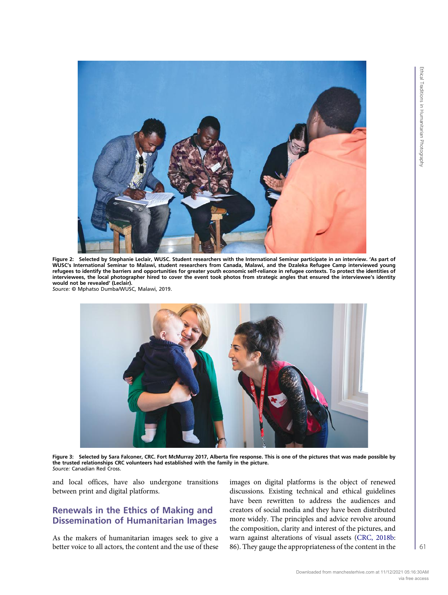<span id="page-4-0"></span>

Figure 2: Selected by Stephanie Leclair, WUSC. Student researchers with the International Seminar participate in an interview. 'As part of WUSC's International Seminar to Malawi, student researchers from Canada, Malawi, and the Dzaleka Refugee Camp interviewed young refugees to identify the barriers and opportunities for greater youth economic self-reliance in refugee contexts. To protect the identities of interviewees, the local photographer hired to cover the event took photos from strategic angles that ensured the interviewee's identity would not be revealed' (Leclair). Source: © Mphatso Dumba/WUSC, Malawi, 2019.

<span id="page-4-1"></span>

Figure 3: Selected by Sara Falconer, CRC. Fort McMurray 2017, Alberta fire response. This is one of the pictures that was made possible by<br>the trusted relationships CRC volunteers had established with the family in the pic Source: Canadian Red Cross.

and local offices, have also undergone transitions between print and digital platforms.

# Renewals in the Ethics of Making and Dissemination of Humanitarian Images

As the makers of humanitarian images seek to give a better voice to all actors, the content and the use of these images on digital platforms is the object of renewed discussions. Existing technical and ethical guidelines have been rewritten to address the audiences and creators of social media and they have been distributed more widely. The principles and advice revolve around the composition, clarity and interest of the pictures, and warn against alterations of visual assets ([CRC, 2018b:](#page-6-3) 86). They gauge the appropriateness of the content in the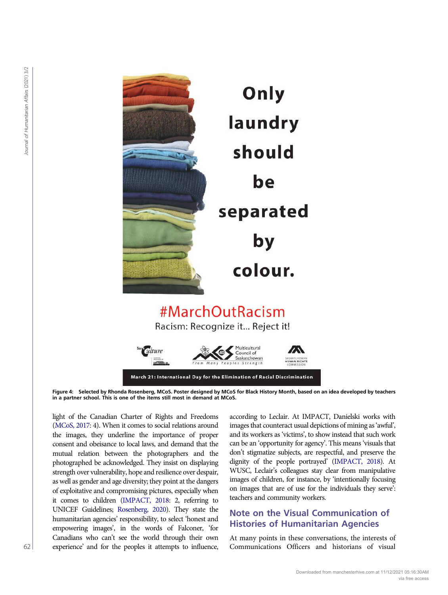<span id="page-5-0"></span>



Figure 4: Selected by Rhonda Rosenberg, MCoS. Poster designed by MCoS for Black History Month, based on an idea developed by teachers in a partner school. This is one of the items still most in demand at MCoS.

light of the Canadian Charter of Rights and Freedoms [\(MCoS, 2017](#page-7-3): 4). When it comes to social relations around the images, they underline the importance of proper consent and obeisance to local laws, and demand that the mutual relation between the photographers and the photographed be acknowledged. They insist on displaying strength over vulnerability, hope and resilience over despair, as well as gender and age diversity; they point at the dangers of exploitative and compromising pictures, especially when it comes to children [\(IMPACT, 2018:](#page-7-7) 2, referring to UNICEF Guidelines; [Rosenberg, 2020\)](#page-7-8). They state the humanitarian agencies' responsibility, to select 'honest and empowering images', in the words of Falconer, 'for Canadians who can't see the world through their own experience' and for the peoples it attempts to influence, according to Leclair. At IMPACT, Danielski works with images that counteract usual depictions of mining as'awful', and its workers as 'victims', to show instead that such work can be an 'opportunity for agency'. This means 'visuals that don't stigmatize subjects, are respectful, and preserve the dignity of the people portrayed' [\(IMPACT, 2018\)](#page-7-7). At WUSC, Leclair's colleagues stay clear from manipulative images of children, for instance, by 'intentionally focusing on images that are of use for the individuals they serve': teachers and community workers.

## Note on the Visual Communication of Histories of Humanitarian Agencies

At many points in these conversations, the interests of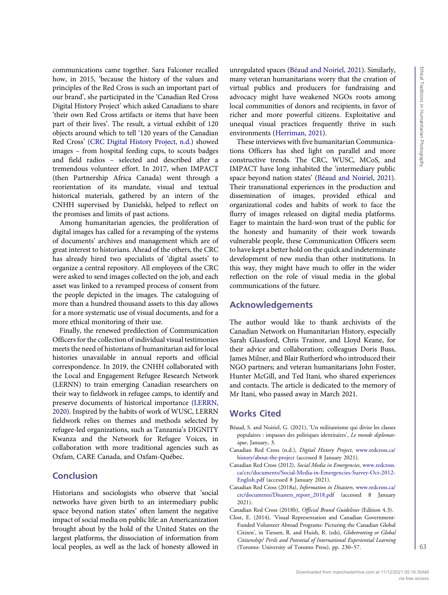communications came together. Sara Falconer recalled how, in 2015, 'because the history of the values and principles of the Red Cross is such an important part of our brand', she participated in the 'Canadian Red Cross Digital History Project' which asked Canadians to share 'their own Red Cross artifacts or items that have been part of their lives'. The result, a virtual exhibit of 120 objects around which to tell '120 years of the Canadian Red Cross' ([CRC Digital History Project, n.d.\)](#page-6-4) showed images – from hospital feeding cups, to scouts badges and field radios – selected and described after a tremendous volunteer effort. In 2017, when IMPACT (then Partnership Africa Canada) went through a reorientation of its mandate, visual and textual historical materials, gathered by an intern of the CNHH supervised by Danielski, helped to reflect on the promises and limits of past actions.

Among humanitarian agencies, the proliferation of digital images has called for a revamping of the systems of documents' archives and management which are of great interest to historians. Ahead of the others, the CRC has already hired two specialists of 'digital assets' to organize a central repository. All employees of the CRC were asked to send images collected on the job, and each asset was linked to a revamped process of consent from the people depicted in the images. The cataloguing of more than a hundred thousand assets to this day allows for a more systematic use of visual documents, and for a more ethical monitoring of their use.

Finally, the renewed predilection of Communication Officers for the collection of individual visual testimonies meets the need of historians of humanitarian aid for local histories unavailable in annual reports and official correspondence. In 2019, the CNHH collaborated with the Local and Engagement Refugee Research Network (LERNN) to train emerging Canadian researchers on their way to fieldwork in refugee camps, to identify and preserve documents of historical importance ([LERRN,](#page-7-9) [2020\)](#page-7-9). Inspired by the habits of work of WUSC, LERRN fieldwork relies on themes and methods selected by refugee-led organizations, such as Tanzania's DIGNITY Kwanza and the Network for Refugee Voices, in collaboration with more traditional agencies such as Oxfam, CARE Canada, and Oxfam-Québec.

### **Conclusion**

Historians and sociologists who observe that 'social networks have given birth to an intermediary public space beyond nation states' often lament the negative impact of social media on public life: an Americanization brought about by the hold of the United States on the largest platforms, the dissociation of information from local peoples, as well as the lack of honesty allowed in unregulated spaces [\(Béaud and Noiriel, 2021\)](#page-6-5). Similarly, many veteran humanitarians worry that the creation of virtual publics and producers for fundraising and advocacy might have weakened NGOs roots among local communities of donors and recipients, in favor of richer and more powerful citizens. Exploitative and unequal visual practices frequently thrive in such environments [\(Herriman, 2021\)](#page-7-10).

These interviews with five humanitarian Communications Officers has shed light on parallel and more constructive trends. The CRC, WUSC, MCoS, and IMPACT have long inhabited the 'intermediary public space beyond nation states' [\(Béaud and Noiriel, 2021](#page-6-5)). Their transnational experiences in the production and dissemination of images, provided ethical and organizational codes and habits of work to face the flurry of images released on digital media platforms. Eager to maintain the hard-won trust of the public for the honesty and humanity of their work towards vulnerable people, these Communication Officers seem to have kept a better hold on the quick and indeterminate development of new media than other institutions. In this way, they might have much to offer in the wider reflection on the role of visual media in the global communications of the future.

## Acknowledgements

The author would like to thank archivists of the Canadian Network on Humanitarian History, especially Sarah Glassford, Chris Trainor, and Lloyd Keane, for their advice and collaboration; colleagues Doris Buss, James Milner, and Blair Rutherford who introduced their NGO partners; and veteran humanitarians John Foster, Hunter McGill, and Ted Itani, who shared experiences and contacts. The article is dedicated to the memory of Mr Itani, who passed away in March 2021.

#### Works Cited

- <span id="page-6-5"></span>Béaud, S. and Noiriel, G. (2021), 'Un militantisme qui divise les classes populaires : impasses des politiques identitaires', Le monde diplomatique, January, 3.
- <span id="page-6-4"></span>Canadian Red Cross (n.d.), Digital History Project, [www.redcross.ca/](www.redcross.ca/history/about-the-project) [history/about-the-project](www.redcross.ca/history/about-the-project) (accessed 8 January 2021).
- <span id="page-6-1"></span>Canadian Red Cross (2012), Social Media in Emergencies, [www.redcross.](www.redcross.ca/crc/documents/Social-Media-in-Emergencies-Survey-Oct-2012-English.pdf) [ca/crc/documents/Social-Media-in-Emergencies-Survey-Oct-2012-](www.redcross.ca/crc/documents/Social-Media-in-Emergencies-Survey-Oct-2012-English.pdf) [English.pdf](www.redcross.ca/crc/documents/Social-Media-in-Emergencies-Survey-Oct-2012-English.pdf) (accessed 8 January 2021).
- <span id="page-6-2"></span>Canadian Red Cross (2018a), Information in Disasters, [www.redcross.ca/](https://www.redcross.ca/crc/documents/Disasters_report_2018.pdf) [crc/documents/Disasters\\_report\\_2018.pdf](https://www.redcross.ca/crc/documents/Disasters_report_2018.pdf) (accessed 8 January 2021).
- <span id="page-6-3"></span><span id="page-6-0"></span>Canadian Red Cross (2018b), Official Brand Guidelines (Edition 4.3).
- Clost, E. (2014), 'Visual Representation and Canadian Government-Funded Volunteer Abroad Programs: Picturing the Canadian Global Citizen', in Tiessen, R. and Huish, R. (eds), Globetrotting or Global Citizenship? Perils and Potential of International Experiential Learning (Toronto: University of Toronto Press), pp. 230–57.